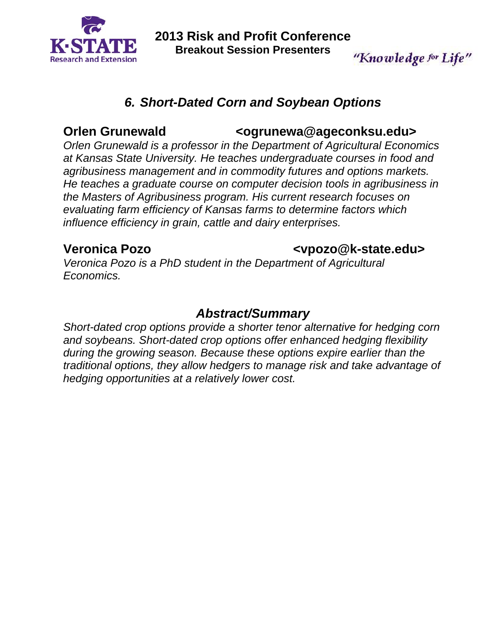

**2013 Risk and Profit Conference Breakout Session Presenters** 

### *6. Short-Dated Corn and Soybean Options*

#### **Orlen Grunewald**  $\sim$  **<ogrunewa@ageconksu.edu>**

*Orlen Grunewald is a professor in the Department of Agricultural Economics at Kansas State University. He teaches undergraduate courses in food and agribusiness management and in commodity futures and options markets. He teaches a graduate course on computer decision tools in agribusiness in the Masters of Agribusiness program. His current research focuses on evaluating farm efficiency of Kansas farms to determine factors which influence efficiency in grain, cattle and dairy enterprises.* 

#### **Veronica Pozo <vpozo@k-state.edu>**

"Knowledge for Life"

*Veronica Pozo is a PhD student in the Department of Agricultural Economics.* 

#### *Abstract/Summary*

*Short-dated crop options provide a shorter tenor alternative for hedging corn and soybeans. Short-dated crop options offer enhanced hedging flexibility during the growing season. Because these options expire earlier than the traditional options, they allow hedgers to manage risk and take advantage of hedging opportunities at a relatively lower cost.*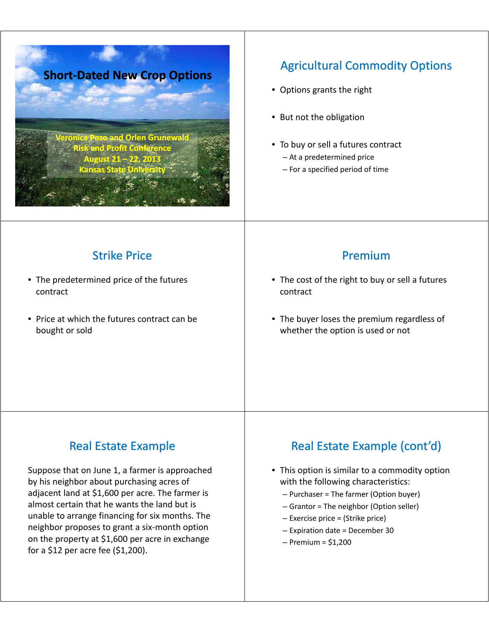

## **Agricultural Commodity Options**

- Options grants the right
- $\bullet$  But not the obligation
- To buy or sell a futures contract
	- $-$  At a predetermined price
	- For a specified period of time

**Strike Price** 

- The predetermined price of the futures contract
- Price at which the futures contract can be bought or sold

#### Premium

- The cost of the right to buy or sell a futures contract
- The buyer loses the premium regardless of whether the option is used or not

## **Real Estate Example**

Suppose that on June 1, a farmer is approached by his neighbor about purchasing acres of adjacent land at \$1,600 per acre. The farmer is almost certain that he wants the land but is unable to arrange financing for six months. The neighbor proposes to grant a six-month option on the property at  $$1,600$  per acre in exchange for a \$12 per acre fee (\$1,200).

## Real Estate Example (cont'd)

- This option is similar to a commodity option with the following characteristics:
	- $P$ urchaser = The farmer (Option buyer)
	- Grantor = The neighbor (Option seller)
	- $-$  Exercise price = (Strike price)
	- Expiration date = December 30
	- $-$  Premium = \$1,200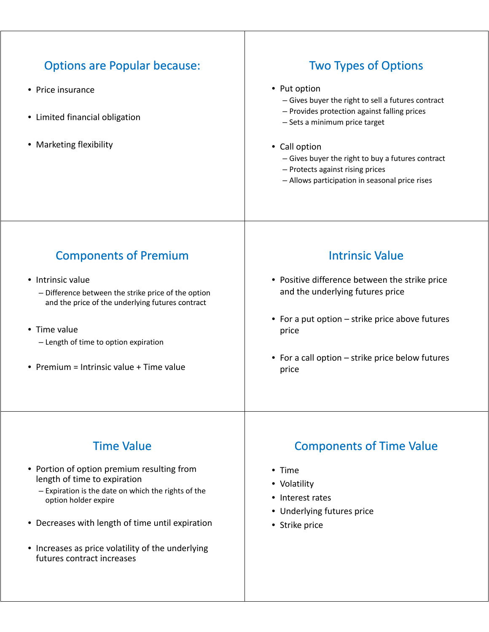| <b>Options are Popular because:</b><br>• Price insurance<br>• Limited financial obligation<br>• Marketing flexibility | <b>Two Types of Options</b><br>• Put option<br>- Gives buyer the right to sell a futures contract<br>- Provides protection against falling prices<br>- Sets a minimum price target<br>• Call option<br>- Gives buyer the right to buy a futures contract<br>- Protects against rising prices<br>- Allows participation in seasonal price rises |
|-----------------------------------------------------------------------------------------------------------------------|------------------------------------------------------------------------------------------------------------------------------------------------------------------------------------------------------------------------------------------------------------------------------------------------------------------------------------------------|
| <b>Components of Premium</b>                                                                                          | <b>Intrinsic Value</b>                                                                                                                                                                                                                                                                                                                         |
| • Intrinsic value                                                                                                     | • Positive difference between the strike price                                                                                                                                                                                                                                                                                                 |
| - Difference between the strike price of the option                                                                   | and the underlying futures price                                                                                                                                                                                                                                                                                                               |
| and the price of the underlying futures contract                                                                      | • For a put option – strike price above futures                                                                                                                                                                                                                                                                                                |
| • Time value                                                                                                          | price                                                                                                                                                                                                                                                                                                                                          |
| - Length of time to option expiration                                                                                 | • For a call option – strike price below futures                                                                                                                                                                                                                                                                                               |
| • Premium = Intrinsic value + Time value                                                                              | price                                                                                                                                                                                                                                                                                                                                          |
| <b>Time Value</b>                                                                                                     | <b>Components of Time Value</b>                                                                                                                                                                                                                                                                                                                |
| • Portion of option premium resulting from                                                                            | • Time                                                                                                                                                                                                                                                                                                                                         |
| length of time to expiration                                                                                          | • Volatility                                                                                                                                                                                                                                                                                                                                   |
| - Expiration is the date on which the rights of the                                                                   | • Interest rates                                                                                                                                                                                                                                                                                                                               |
| option holder expire                                                                                                  | • Underlying futures price                                                                                                                                                                                                                                                                                                                     |

- Decreases with length of time until expiration
- Increases as price volatility of the underlying futures contract increases
- Underlying futures price
- Strike price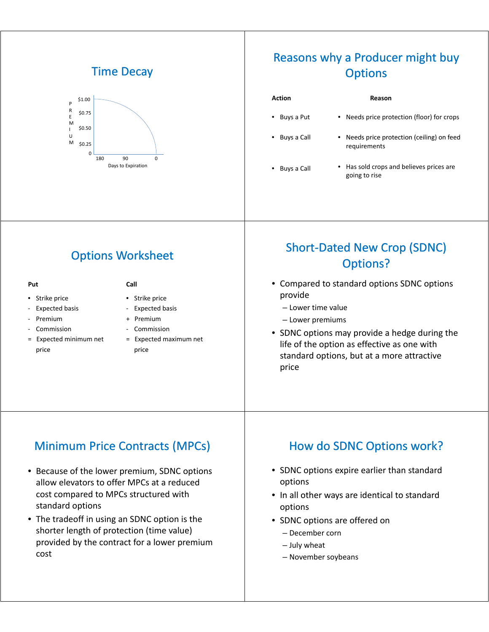#### **Time Decay**



#### Reasons why a Producer might buy **Options**

#### **Action Reason**

• Buys a Put • Needs price protection (floor) for crops

requirements

going to rise

- Buys a Call
- 

# • Buys a Call • Has sold crops and believes prices are

• Needs price protection (ceiling) on feed

#### **Options Worksheet**

#### **Put**

- Strike price
- Expected basis
- Premium
- 
- = Expected minimum net price

#### **Call**

- Strike price
- Expected basis
- + Premium
- Commission and Commissi **Commission** 
	- = Expected maximum net price

#### Short-Dated New Crop (SDNC) Options?

- Compared to standard options SDNC options provide
	- Lower time value
	- Lower premiums
- SDNC options may provide a hedge during the life of the option as effective as one with standard options, but at a more attractive price

#### Minimum Price Contracts (MPCs)

- Because of the lower premium, SDNC options allow elevators to offer MPCs at a reduced cost compared to MPCs structured with standard options
- The tradeoff in using an SDNC option is the shorter length of protection (time value) provided by the contract for a lower premium cost

#### How do SDNC Options work?

- SDNC options expire earlier than standard options
- In all other ways are identical to standard options
- SDNC options are offered on
	- December corn
	- July wheat
	- November soybeans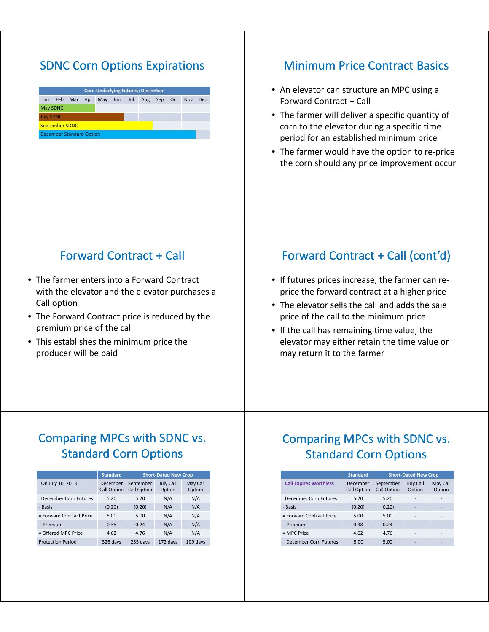### **SDNC Corn Options Expirations**

| <b>Corn Underlying Futures: December</b> |      |     |     |     |     |     |     |     |     |            |            |
|------------------------------------------|------|-----|-----|-----|-----|-----|-----|-----|-----|------------|------------|
| Jan                                      | Feb. | Mar | Apr | May | Jun | Jul | Aug | Sep | Oct | <b>Nov</b> | <b>Dec</b> |
| May SDNC                                 |      |     |     |     |     |     |     |     |     |            |            |
| <b>July SDNC</b>                         |      |     |     |     |     |     |     |     |     |            |            |
| <b>September SDNC</b>                    |      |     |     |     |     |     |     |     |     |            |            |
| <b>December Standard Option</b>          |      |     |     |     |     |     |     |     |     |            |            |

#### **Minimum Price Contract Basics**

- An elevator can structure an MPC using a Forward Contract + Call
- The farmer will deliver a specific quantity of corn to the elevator during a specific time period for an established minimum price
- The farmer would have the option to re-price the corn should any price improvement occur

#### Forward Contract + Call

- The farmer enters into a Forward Contract with the elevator and the elevator purchases a Call option
- The Forward Contract price is reduced by the premium price of the call
- This establishes the minimum price the producer will be paid

#### Forward Contract + Call (cont'd)

- If futures prices increase, the farmer can reprice the forward contract at a higher price
- The elevator sells the call and adds the sale price of the call to the minimum price
- $\bullet$  If the call has remaining time value, the elevator may either retain the time value or may return it to the farmer

#### Comparing MPCs with SDNC vs. Standard Corn Options

|                          | <b>Standard</b>                | <b>Short-Dated New Crop</b>     |                            |                    |  |  |
|--------------------------|--------------------------------|---------------------------------|----------------------------|--------------------|--|--|
| On July 10, 2013         | December<br><b>Call Option</b> | September<br><b>Call Option</b> | <b>July Call</b><br>Option | May Call<br>Option |  |  |
| December Corn Futures    | 5.20                           | 5.20                            | N/A                        | N/A                |  |  |
| - Basis                  | (0.20)                         | (0.20)                          | N/A                        | N/A                |  |  |
| = Forward Contract Price | 5.00                           | 5.00                            | N/A                        | N/A                |  |  |
| - Premium                | 0.38                           | 0.24                            | N/A                        | N/A                |  |  |
| = Offered MPC Price      | 4.62                           | 4.76                            | N/A                        | N/A                |  |  |
| <b>Protection Period</b> | 326 days                       | 235 days                        | 172 days                   | $109$ days         |  |  |

#### Comparing MPCs with SDNC vs. Standard Corn Options

|                               | <b>Standard</b>                | <b>Short-Dated New Crop</b>     |                            |                    |  |
|-------------------------------|--------------------------------|---------------------------------|----------------------------|--------------------|--|
| <b>Call Expires Worthless</b> | December<br><b>Call Option</b> | September<br><b>Call Option</b> | <b>July Call</b><br>Option | May Call<br>Option |  |
| December Corn Futures         | 5.20                           | 5.20                            |                            |                    |  |
| - Basis                       | (0.20)                         | (0.20)                          | -                          |                    |  |
| = Forward Contract Price      | 5.00                           | 5.00                            | ۰                          |                    |  |
| - Premium                     | 0.38                           | 0.24                            | -                          |                    |  |
| = MPC Price                   | 4.62                           | 4.76                            |                            |                    |  |
| December Corn Futures         | 5.00                           | 5.00                            |                            |                    |  |